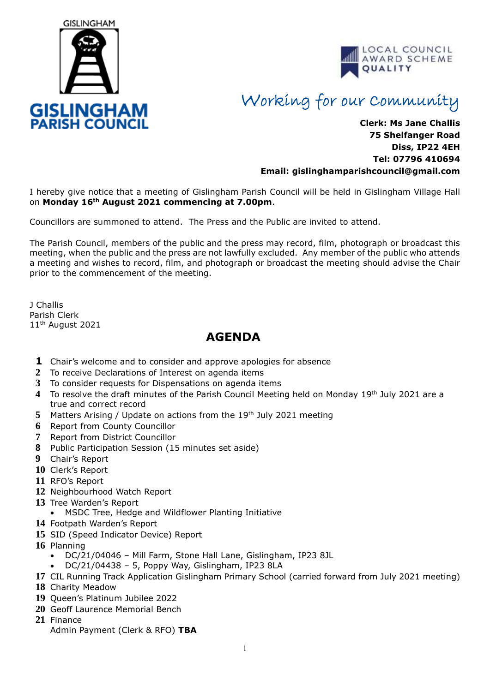



## Working for our Community

## **Clerk: Ms Jane Challis 75 Shelfanger Road Diss, IP22 4EH Tel: 07796 410694 Email: [gislinghamparishcouncil@gmail.com](mailto:gislinghamparishcouncil@gmail.com)**

I hereby give notice that a meeting of Gislingham Parish Council will be held in Gislingham Village Hall on **Monday 16th August 2021 commencing at 7.00pm**.

Councillors are summoned to attend. The Press and the Public are invited to attend.

The Parish Council, members of the public and the press may record, film, photograph or broadcast this meeting, when the public and the press are not lawfully excluded. Any member of the public who attends a meeting and wishes to record, film, and photograph or broadcast the meeting should advise the Chair prior to the commencement of the meeting.

J Challis Parish Clerk 11<sup>th</sup> August 2021

## **AGENDA**

- **1** Chair's welcome and to consider and approve apologies for absence
- **2** To receive Declarations of Interest on agenda items
- **3** To consider requests for Dispensations on agenda items
- **4** To resolve the draft minutes of the Parish Council Meeting held on Monday 19th July 2021 are a true and correct record
- **5** Matters Arising / Update on actions from the 19th July 2021 meeting
- **6** Report from County Councillor
- **7** Report from District Councillor
- **8** Public Participation Session (15 minutes set aside)
- **9** Chair's Report
- **10** Clerk's Report
- **11** RFO's Report
- **12** Neighbourhood Watch Report
- **13** Tree Warden's Report
- MSDC Tree, Hedge and Wildflower Planting Initiative
- **14** Footpath Warden's Report
- **15** SID (Speed Indicator Device) Report
- **16** Planning
	- DC/21/04046 Mill Farm, Stone Hall Lane, Gislingham, IP23 8JL
	- DC/21/04438 5, Poppy Way, Gislingham, IP23 8LA
- **17** CIL Running Track Application Gislingham Primary School (carried forward from July 2021 meeting)
- **18** Charity Meadow
- **19** Queen's Platinum Jubilee 2022
- **20** Geoff Laurence Memorial Bench
- **21** Finance
	- Admin Payment (Clerk & RFO) **TBA**